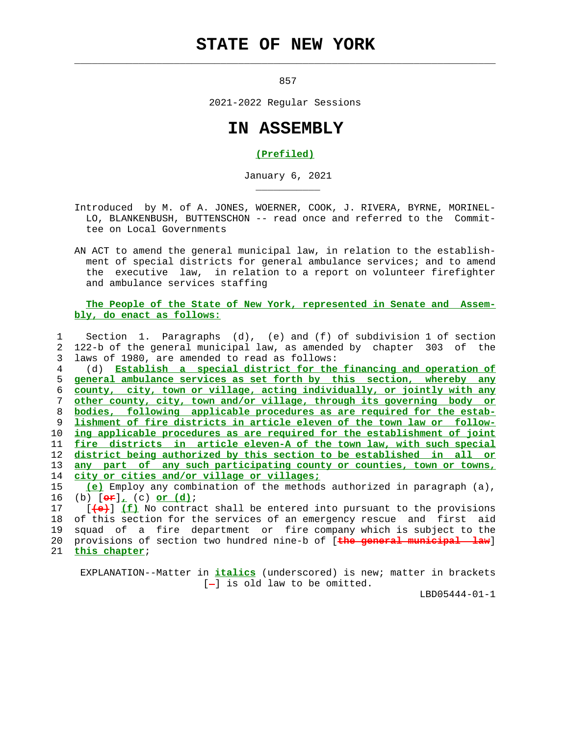## **STATE OF NEW YORK**

 $\mathcal{L}_\text{max} = \frac{1}{2} \sum_{i=1}^{n} \frac{1}{2} \sum_{i=1}^{n} \frac{1}{2} \sum_{i=1}^{n} \frac{1}{2} \sum_{i=1}^{n} \frac{1}{2} \sum_{i=1}^{n} \frac{1}{2} \sum_{i=1}^{n} \frac{1}{2} \sum_{i=1}^{n} \frac{1}{2} \sum_{i=1}^{n} \frac{1}{2} \sum_{i=1}^{n} \frac{1}{2} \sum_{i=1}^{n} \frac{1}{2} \sum_{i=1}^{n} \frac{1}{2} \sum_{i=1}^{n} \frac{1$ 

\_\_\_\_\_\_\_\_\_\_\_

857

2021-2022 Regular Sessions

## **IN ASSEMBLY**

## **(Prefiled)**

January 6, 2021

 Introduced by M. of A. JONES, WOERNER, COOK, J. RIVERA, BYRNE, MORINEL- LO, BLANKENBUSH, BUTTENSCHON -- read once and referred to the Commit tee on Local Governments

 AN ACT to amend the general municipal law, in relation to the establish ment of special districts for general ambulance services; and to amend the executive law, in relation to a report on volunteer firefighter and ambulance services staffing

 **The People of the State of New York, represented in Senate and Assem bly, do enact as follows:**

 1 Section 1. Paragraphs (d), (e) and (f) of subdivision 1 of section 2 122-b of the general municipal law, as amended by chapter 303 of the 3 laws of 1980, are amended to read as follows:

 4 (d) **Establish a special district for the financing and operation of general ambulance services as set forth by this section, whereby any county, city, town or village, acting individually, or jointly with any other county, city, town and/or village, through its governing body or bodies, following applicable procedures as are required for the estab- lishment of fire districts in article eleven of the town law or follow- ing applicable procedures as are required for the establishment of joint fire districts in article eleven-A of the town law, with such special district being authorized by this section to be established in all or any part of any such participating county or counties, town or towns, city or cities and/or village or villages;**

 15 **(e)** Employ any combination of the methods authorized in paragraph (a), 16 (b) [**or**]**,** (c) **or (d)**;

 17 [**(e)**] **(f)** No contract shall be entered into pursuant to the provisions 18 of this section for the services of an emergency rescue and first aid 19 squad of a fire department or fire company which is subject to the 20 provisions of section two hundred nine-b of [**the general municipal law**] 21 **this chapter**;

 EXPLANATION--Matter in **italics** (underscored) is new; matter in brackets  $[-]$  is old law to be omitted.

LBD05444-01-1